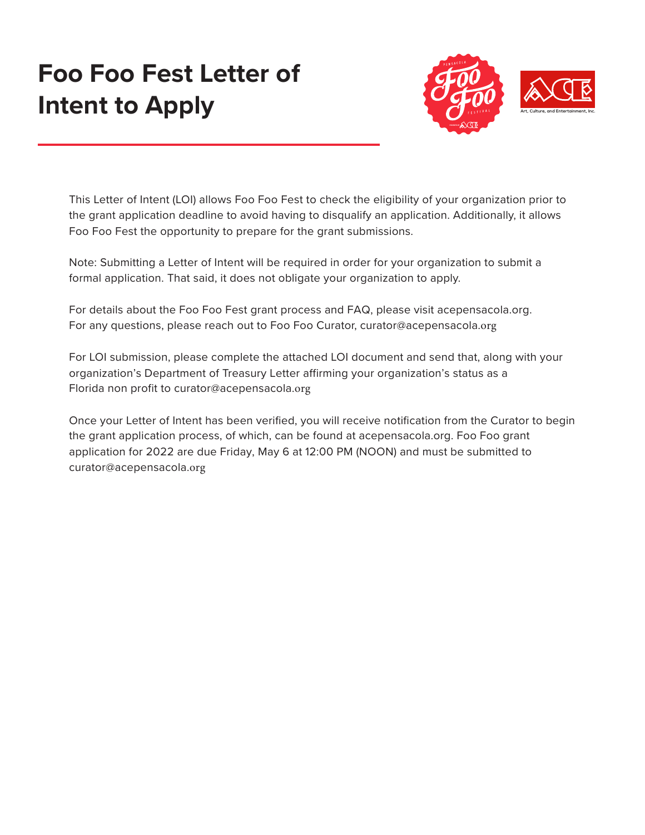## **Foo Foo Fest Letter of Intent to Apply**



This Letter of Intent (LOI) allows Foo Foo Fest to check the eligibility of your organization prior to the grant application deadline to avoid having to disqualify an application. Additionally, it allows Foo Foo Fest the opportunity to prepare for the grant submissions.

Note: Submitting a Letter of Intent will be required in order for your organization to submit a formal application. That said, it does not obligate your organization to apply.

For details about the Foo Foo Fest grant process and FAQ, please visit acepensacola.org. For any questions, please reach out to Foo Foo Curator, curator@acepensacola.org

For LOI submission, please complete the attached LOI document and send that, along with your organization's Department of Treasury Letter affirming your organization's status as a Florida non profit to curator@acepensacola.org

Once your Letter of Intent has been verified, you will receive notification from the Curator to begin the grant application process, of which, can be found at acepensacola.org. Foo Foo grant application for 2022 are due Friday, May 6 at 12:00 PM (NOON) and must be submitted to curator@acepensacola.org